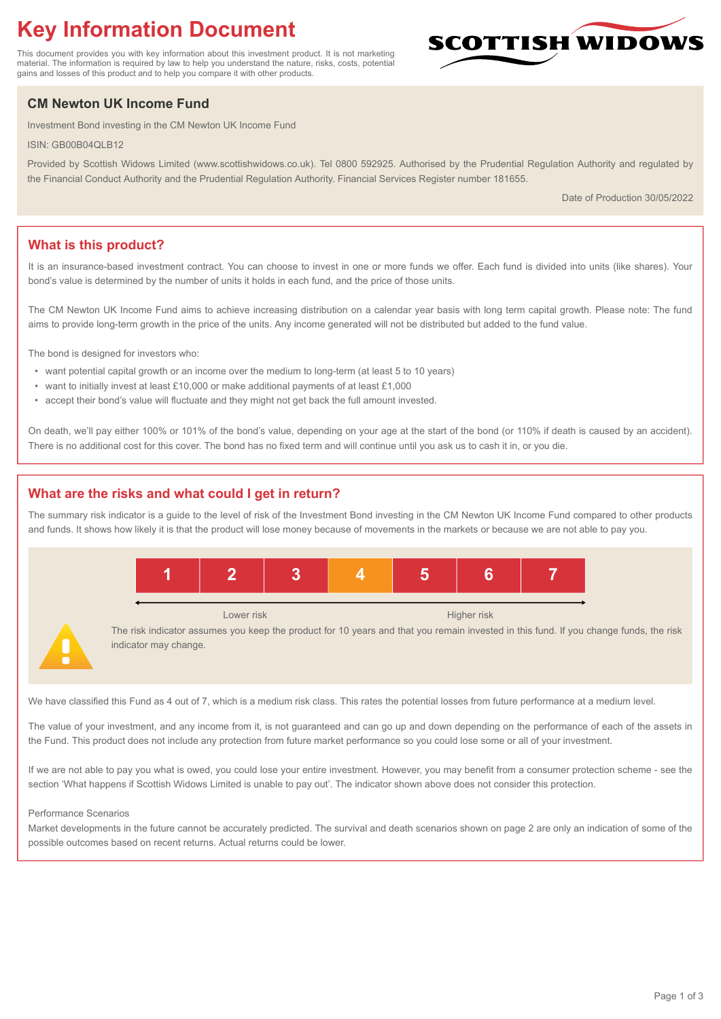# **Key Information Document**

This document provides you with key information about this investment product. It is not marketing material. The information is required by law to help you understand the nature, risks, costs, potential gains and losses of this product and to help you compare it with other products.

## **CM Newton UK Income Fund**

Investment Bond investing in the CM Newton UK Income Fund

ISIN: GB00B04QLB12

Provided by Scottish Widows Limited (www.scottishwidows.co.uk). Tel 0800 592925. Authorised by the Prudential Regulation Authority and regulated by the Financial Conduct Authority and the Prudential Regulation Authority. Financial Services Register number 181655.

Date of Production 30/05/2022

**SCOTTISH WIDOW** 

## **What is this product?**

It is an insurance-based investment contract. You can choose to invest in one or more funds we offer. Each fund is divided into units (like shares). Your bond's value is determined by the number of units it holds in each fund, and the price of those units.

The CM Newton UK Income Fund aims to achieve increasing distribution on a calendar year basis with long term capital growth. Please note: The fund aims to provide long-term growth in the price of the units. Any income generated will not be distributed but added to the fund value.

The bond is designed for investors who:

- want potential capital growth or an income over the medium to long-term (at least 5 to 10 years)
- want to initially invest at least £10,000 or make additional payments of at least £1,000
- accept their bond's value will fluctuate and they might not get back the full amount invested.

On death, we'll pay either 100% or 101% of the bond's value, depending on your age at the start of the bond (or 110% if death is caused by an accident). There is no additional cost for this cover. The bond has no fixed term and will continue until you ask us to cash it in, or you die.

## **What are the risks and what could I get in return?**

The summary risk indicator is a guide to the level of risk of the Investment Bond investing in the CM Newton UK Income Fund compared to other products and funds. It shows how likely it is that the product will lose money because of movements in the markets or because we are not able to pay you.



We have classified this Fund as 4 out of 7, which is a medium risk class. This rates the potential losses from future performance at a medium level.

The value of your investment, and any income from it, is not guaranteed and can go up and down depending on the performance of each of the assets in the Fund. This product does not include any protection from future market performance so you could lose some or all of your investment.

If we are not able to pay you what is owed, you could lose your entire investment. However, you may benefit from a consumer protection scheme - see the section 'What happens if Scottish Widows Limited is unable to pay out'. The indicator shown above does not consider this protection.

#### Performance Scenarios

Market developments in the future cannot be accurately predicted. The survival and death scenarios shown on page 2 are only an indication of some of the possible outcomes based on recent returns. Actual returns could be lower.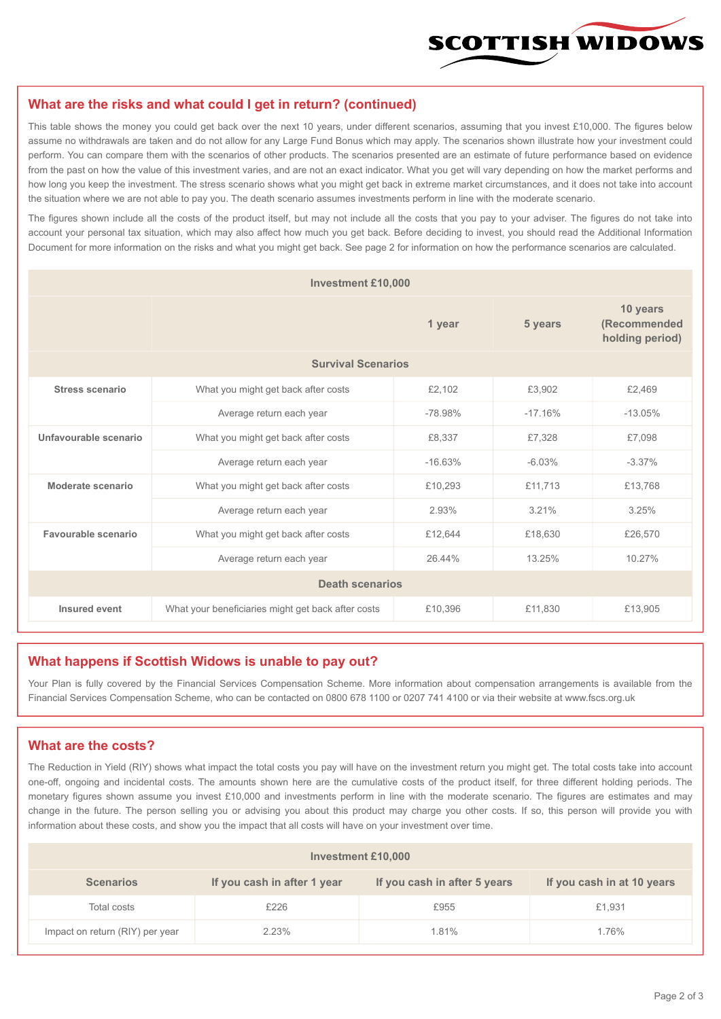

#### **What are the risks and what could I get in return? (continued)**

This table shows the money you could get back over the next 10 years, under different scenarios, assuming that you invest £10,000. The figures below assume no withdrawals are taken and do not allow for any Large Fund Bonus which may apply. The scenarios shown illustrate how your investment could perform. You can compare them with the scenarios of other products. The scenarios presented are an estimate of future performance based on evidence from the past on how the value of this investment varies, and are not an exact indicator. What you get will vary depending on how the market performs and how long you keep the investment. The stress scenario shows what you might get back in extreme market circumstances, and it does not take into account the situation where we are not able to pay you. The death scenario assumes investments perform in line with the moderate scenario.

The figures shown include all the costs of the product itself, but may not include all the costs that you pay to your adviser. The figures do not take into account your personal tax situation, which may also affect how much you get back. Before deciding to invest, you should read the Additional Information Document for more information on the risks and what you might get back. See page 2 for information on how the performance scenarios are calculated.

| <b>Investment £10,000</b> |                                                    |           |                                             |           |  |  |
|---------------------------|----------------------------------------------------|-----------|---------------------------------------------|-----------|--|--|
|                           |                                                    | 5 years   | 10 years<br>(Recommended<br>holding period) |           |  |  |
| <b>Survival Scenarios</b> |                                                    |           |                                             |           |  |  |
| <b>Stress scenario</b>    | £2,102<br>What you might get back after costs      |           | £3,902                                      | £2,469    |  |  |
|                           | $-78.98%$<br>Average return each year              |           | $-17.16%$                                   | $-13.05%$ |  |  |
| Unfavourable scenario     | What you might get back after costs<br>£8,337      |           | £7,328                                      | £7,098    |  |  |
|                           | Average return each year                           | $-16.63%$ | $-6.03%$                                    | $-3.37%$  |  |  |
| Moderate scenario         | What you might get back after costs                | £10,293   | £11,713                                     | £13,768   |  |  |
|                           | Average return each year                           | 2.93%     | 3.21%                                       | 3.25%     |  |  |
| Favourable scenario       | What you might get back after costs                | £12,644   | £18,630                                     | £26,570   |  |  |
|                           | Average return each year                           | 26 44%    |                                             | 10.27%    |  |  |
| <b>Death scenarios</b>    |                                                    |           |                                             |           |  |  |
| Insured event             | What your beneficiaries might get back after costs | £10,396   | £11.830                                     | £13,905   |  |  |

#### **What happens if Scottish Widows is unable to pay out?**

Your Plan is fully covered by the Financial Services Compensation Scheme. More information about compensation arrangements is available from the Financial Services Compensation Scheme, who can be contacted on 0800 678 1100 or 0207 741 4100 or via their website at www.fscs.org.uk

#### **What are the costs?**

The Reduction in Yield (RIY) shows what impact the total costs you pay will have on the investment return you might get. The total costs take into account one-off, ongoing and incidental costs. The amounts shown here are the cumulative costs of the product itself, for three different holding periods. The monetary figures shown assume you invest £10,000 and investments perform in line with the moderate scenario. The figures are estimates and may change in the future. The person selling you or advising you about this product may charge you other costs. If so, this person will provide you with information about these costs, and show you the impact that all costs will have on your investment over time.

| Investment £10,000              |                             |                              |                            |  |  |  |
|---------------------------------|-----------------------------|------------------------------|----------------------------|--|--|--|
| <b>Scenarios</b>                | If you cash in after 1 year | If you cash in after 5 years | If you cash in at 10 years |  |  |  |
| Total costs                     | £226                        | £955                         | £1,931                     |  |  |  |
| Impact on return (RIY) per year | 2.23%                       | 1.81%                        | 1.76%                      |  |  |  |